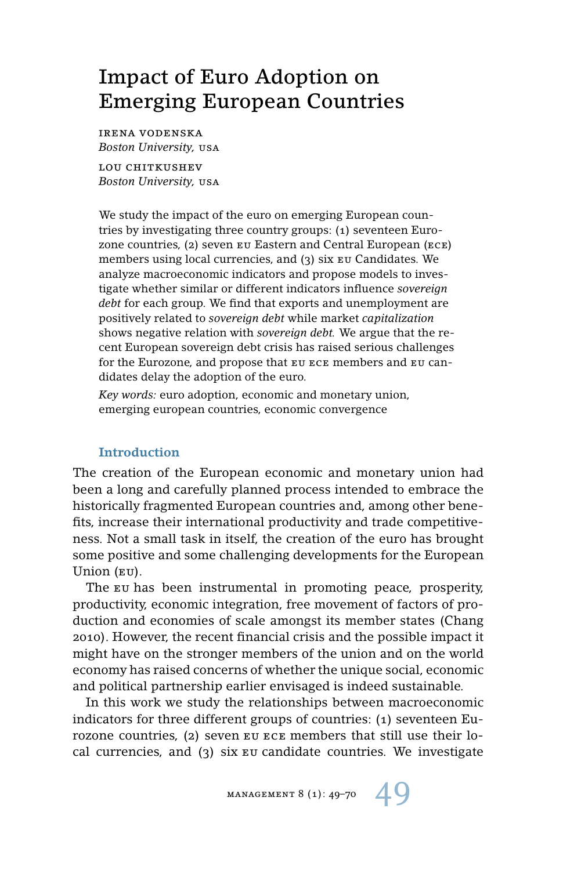# Impact of Euro Adoption on Emerging European Countries

irena vodenska *Boston University,* usa

LOU CHITKUSHEV *Boston University,* usa

We study the impact of the euro on emerging European countries by investigating three country groups: (1) seventeen Eurozone countries, (2) seven eu Eastern and Central European (ece) members using local currencies, and (3) six eu Candidates. We analyze macroeconomic indicators and propose models to investigate whether similar or different indicators influence *sovereign debt* for each group. We find that exports and unemployment are positively related to *sovereign debt* while market *capitalization* shows negative relation with *sovereign debt.* We argue that the recent European sovereign debt crisis has raised serious challenges for the Eurozone, and propose that eu ece members and eu candidates delay the adoption of the euro.

*Key words:* euro adoption, economic and monetary union, emerging european countries, economic convergence

# **Introduction**

The creation of the European economic and monetary union had been a long and carefully planned process intended to embrace the historically fragmented European countries and, among other benefits, increase their international productivity and trade competitiveness. Not a small task in itself, the creation of the euro has brought some positive and some challenging developments for the European Union (EU).

The EU has been instrumental in promoting peace, prosperity, productivity, economic integration, free movement of factors of production and economies of scale amongst its member states (Chang 2010). However, the recent financial crisis and the possible impact it might have on the stronger members of the union and on the world economy has raised concerns of whether the unique social, economic and political partnership earlier envisaged is indeed sustainable.

In this work we study the relationships between macroeconomic indicators for three different groups of countries: (1) seventeen Eurozone countries, (2) seven eu ece members that still use their local currencies, and (3) six eu candidate countries. We investigate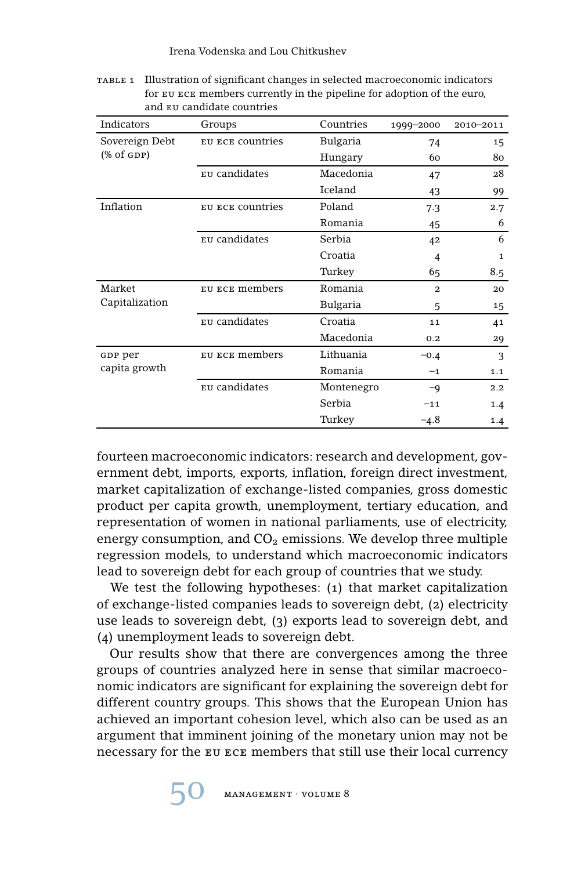| Indicators               | Groups           | Countries  | 1999-2000      | 2010-2011    |
|--------------------------|------------------|------------|----------------|--------------|
| Sovereign Debt           | EU ECE COUNtries | Bulgaria   | 74             | 15           |
| $(\% \text{ of GDP})$    |                  | Hungary    | 60             | 80           |
|                          | EU candidates    | Macedonia  | 47             | 28           |
|                          |                  | Iceland    | 43             | 99           |
| Inflation                | EU ECE COUNTIES  | Poland     | 7.3            | 2.7          |
|                          |                  | Romania    | 45             | 6            |
|                          | EU candidates    | Serbia     | 42             | 6            |
|                          |                  | Croatia    | 4              | $\mathbf{1}$ |
|                          |                  | Turkey     | 65             | 8.5          |
| Market                   | EU ECE members   | Romania    | $\overline{2}$ | 20           |
| Capitalization           |                  | Bulgaria   | 5              | 15           |
|                          | EU candidates    | Croatia    | 11             | 41           |
|                          |                  | Macedonia  | 0.2            | 29           |
| GDP per<br>capita growth | EU ECE members   | Lithuania  | $-0.4$         | 3            |
|                          |                  | Romania    | $-1$           | 1.1          |
|                          | EU candidates    | Montenegro | $-q$           | 2.2          |
|                          |                  | Serbia     | $-11$          | 1.4          |
|                          |                  | Turkey     | $-4.8$         | 1.4          |

table 1 Illustration of significant changes in selected macroeconomic indicators for eu ece members currently in the pipeline for adoption of the euro, and eu candidate countries

fourteen macroeconomic indicators: research and development, government debt, imports, exports, inflation, foreign direct investment, market capitalization of exchange-listed companies, gross domestic product per capita growth, unemployment, tertiary education, and representation of women in national parliaments, use of electricity, energy consumption, and  $CO<sub>2</sub>$  emissions. We develop three multiple regression models, to understand which macroeconomic indicators lead to sovereign debt for each group of countries that we study.

We test the following hypotheses: (1) that market capitalization of exchange-listed companies leads to sovereign debt, (2) electricity use leads to sovereign debt, (3) exports lead to sovereign debt, and (4) unemployment leads to sovereign debt.

Our results show that there are convergences among the three groups of countries analyzed here in sense that similar macroeconomic indicators are significant for explaining the sovereign debt for different country groups. This shows that the European Union has achieved an important cohesion level, which also can be used as an argument that imminent joining of the monetary union may not be necessary for the eu ece members that still use their local currency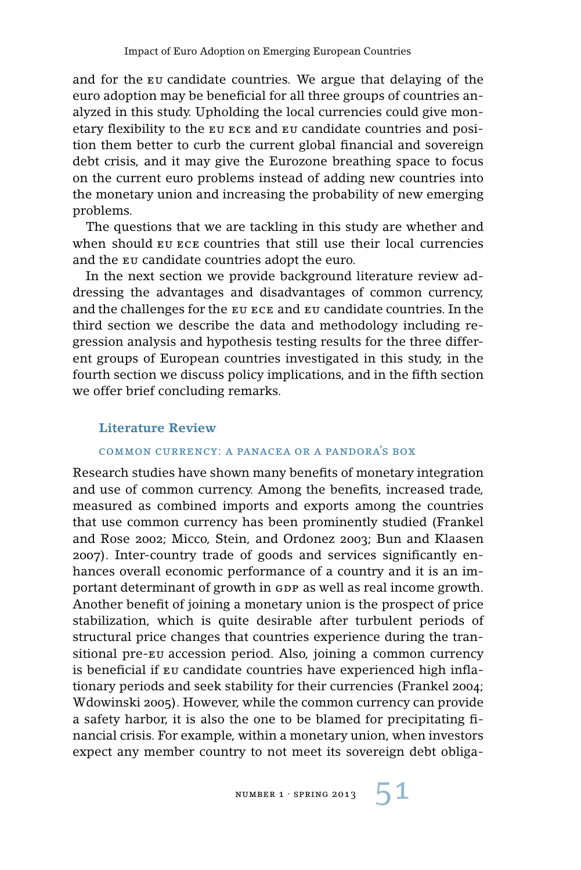and for the eu candidate countries. We argue that delaying of the euro adoption may be beneficial for all three groups of countries analyzed in this study. Upholding the local currencies could give monetary flexibility to the eu ece and eu candidate countries and position them better to curb the current global financial and sovereign debt crisis, and it may give the Eurozone breathing space to focus on the current euro problems instead of adding new countries into the monetary union and increasing the probability of new emerging problems.

The questions that we are tackling in this study are whether and when should eu ece countries that still use their local currencies and the eu candidate countries adopt the euro.

In the next section we provide background literature review addressing the advantages and disadvantages of common currency, and the challenges for the eu ece and eu candidate countries. In the third section we describe the data and methodology including regression analysis and hypothesis testing results for the three different groups of European countries investigated in this study, in the fourth section we discuss policy implications, and in the fifth section we offer brief concluding remarks.

#### **Literature Review**

### common currency: a panacea or a pandora's box

Research studies have shown many benefits of monetary integration and use of common currency. Among the benefits, increased trade, measured as combined imports and exports among the countries that use common currency has been prominently studied (Frankel and Rose 2002; Micco, Stein, and Ordonez 2003; Bun and Klaasen 2007). Inter-country trade of goods and services significantly enhances overall economic performance of a country and it is an important determinant of growth in GDP as well as real income growth. Another benefit of joining a monetary union is the prospect of price stabilization, which is quite desirable after turbulent periods of structural price changes that countries experience during the transitional pre-eu accession period. Also, joining a common currency is beneficial if eu candidate countries have experienced high inflationary periods and seek stability for their currencies (Frankel 2004; Wdowinski 2005). However, while the common currency can provide a safety harbor, it is also the one to be blamed for precipitating financial crisis. For example, within a monetary union, when investors expect any member country to not meet its sovereign debt obliga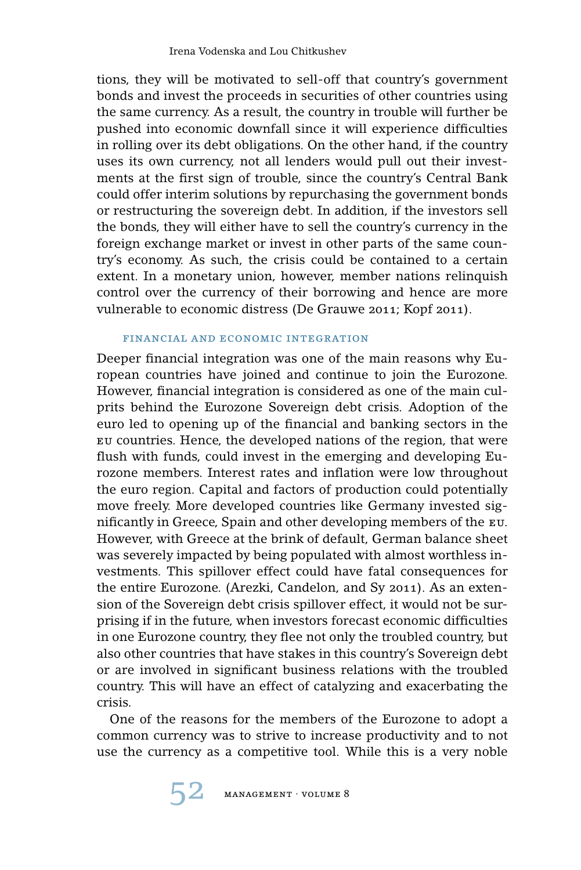tions, they will be motivated to sell-off that country's government bonds and invest the proceeds in securities of other countries using the same currency. As a result, the country in trouble will further be pushed into economic downfall since it will experience difficulties in rolling over its debt obligations. On the other hand, if the country uses its own currency, not all lenders would pull out their investments at the first sign of trouble, since the country's Central Bank could offer interim solutions by repurchasing the government bonds or restructuring the sovereign debt. In addition, if the investors sell the bonds, they will either have to sell the country's currency in the foreign exchange market or invest in other parts of the same country's economy. As such, the crisis could be contained to a certain extent. In a monetary union, however, member nations relinquish control over the currency of their borrowing and hence are more vulnerable to economic distress (De Grauwe 2011; Kopf 2011).

### financial and economic integration

Deeper financial integration was one of the main reasons why European countries have joined and continue to join the Eurozone. However, financial integration is considered as one of the main culprits behind the Eurozone Sovereign debt crisis. Adoption of the euro led to opening up of the financial and banking sectors in the eu countries. Hence, the developed nations of the region, that were flush with funds, could invest in the emerging and developing Eurozone members. Interest rates and inflation were low throughout the euro region. Capital and factors of production could potentially move freely. More developed countries like Germany invested significantly in Greece, Spain and other developing members of the eu. However, with Greece at the brink of default, German balance sheet was severely impacted by being populated with almost worthless investments. This spillover effect could have fatal consequences for the entire Eurozone. (Arezki, Candelon, and Sy 2011). As an extension of the Sovereign debt crisis spillover effect, it would not be surprising if in the future, when investors forecast economic difficulties in one Eurozone country, they flee not only the troubled country, but also other countries that have stakes in this country's Sovereign debt or are involved in significant business relations with the troubled country. This will have an effect of catalyzing and exacerbating the crisis.

One of the reasons for the members of the Eurozone to adopt a common currency was to strive to increase productivity and to not use the currency as a competitive tool. While this is a very noble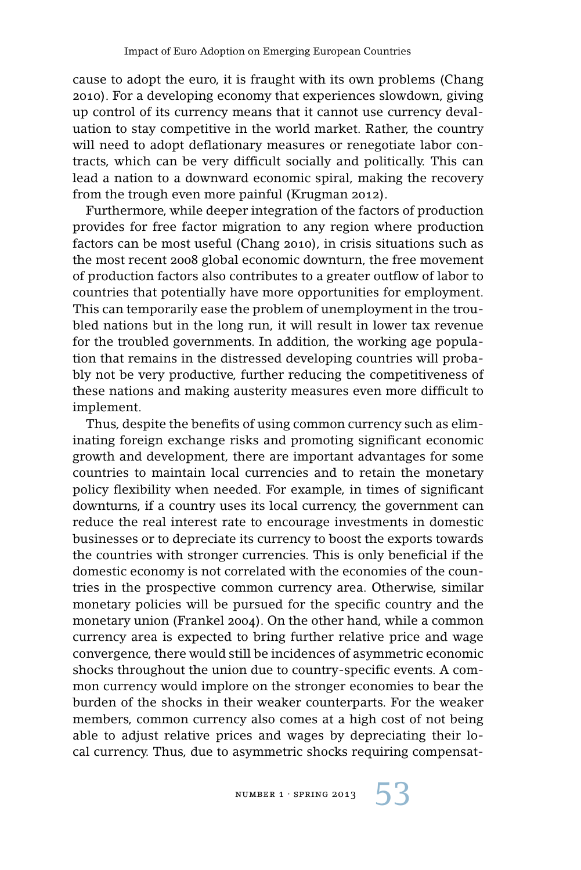cause to adopt the euro, it is fraught with its own problems (Chang 2010). For a developing economy that experiences slowdown, giving up control of its currency means that it cannot use currency devaluation to stay competitive in the world market. Rather, the country will need to adopt deflationary measures or renegotiate labor contracts, which can be very difficult socially and politically. This can lead a nation to a downward economic spiral, making the recovery from the trough even more painful (Krugman 2012).

Furthermore, while deeper integration of the factors of production provides for free factor migration to any region where production factors can be most useful (Chang 2010), in crisis situations such as the most recent 2008 global economic downturn, the free movement of production factors also contributes to a greater outflow of labor to countries that potentially have more opportunities for employment. This can temporarily ease the problem of unemployment in the troubled nations but in the long run, it will result in lower tax revenue for the troubled governments. In addition, the working age population that remains in the distressed developing countries will probably not be very productive, further reducing the competitiveness of these nations and making austerity measures even more difficult to implement.

Thus, despite the benefits of using common currency such as eliminating foreign exchange risks and promoting significant economic growth and development, there are important advantages for some countries to maintain local currencies and to retain the monetary policy flexibility when needed. For example, in times of significant downturns, if a country uses its local currency, the government can reduce the real interest rate to encourage investments in domestic businesses or to depreciate its currency to boost the exports towards the countries with stronger currencies. This is only beneficial if the domestic economy is not correlated with the economies of the countries in the prospective common currency area. Otherwise, similar monetary policies will be pursued for the specific country and the monetary union (Frankel 2004). On the other hand, while a common currency area is expected to bring further relative price and wage convergence, there would still be incidences of asymmetric economic shocks throughout the union due to country-specific events. A common currency would implore on the stronger economies to bear the burden of the shocks in their weaker counterparts. For the weaker members, common currency also comes at a high cost of not being able to adjust relative prices and wages by depreciating their local currency. Thus, due to asymmetric shocks requiring compensat-

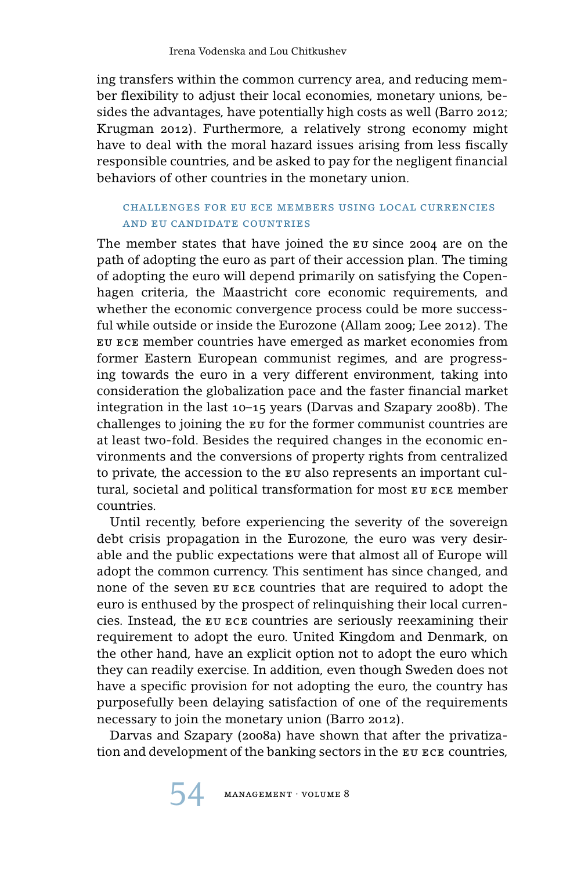ing transfers within the common currency area, and reducing member flexibility to adjust their local economies, monetary unions, besides the advantages, have potentially high costs as well (Barro 2012; Krugman 2012). Furthermore, a relatively strong economy might have to deal with the moral hazard issues arising from less fiscally responsible countries, and be asked to pay for the negligent financial behaviors of other countries in the monetary union.

# challenges for eu ece members using local currencies and eu candidate countries

The member states that have joined the eu since 2004 are on the path of adopting the euro as part of their accession plan. The timing of adopting the euro will depend primarily on satisfying the Copenhagen criteria, the Maastricht core economic requirements, and whether the economic convergence process could be more successful while outside or inside the Eurozone (Allam 2009; Lee 2012). The eu ece member countries have emerged as market economies from former Eastern European communist regimes, and are progressing towards the euro in a very different environment, taking into consideration the globalization pace and the faster financial market integration in the last 10–15 years (Darvas and Szapary 2008b). The challenges to joining the eu for the former communist countries are at least two-fold. Besides the required changes in the economic environments and the conversions of property rights from centralized to private, the accession to the eu also represents an important cultural, societal and political transformation for most eu ece member countries.

Until recently, before experiencing the severity of the sovereign debt crisis propagation in the Eurozone, the euro was very desirable and the public expectations were that almost all of Europe will adopt the common currency. This sentiment has since changed, and none of the seven eu ece countries that are required to adopt the euro is enthused by the prospect of relinquishing their local currencies. Instead, the eu ece countries are seriously reexamining their requirement to adopt the euro. United Kingdom and Denmark, on the other hand, have an explicit option not to adopt the euro which they can readily exercise. In addition, even though Sweden does not have a specific provision for not adopting the euro, the country has purposefully been delaying satisfaction of one of the requirements necessary to join the monetary union (Barro 2012).

Darvas and Szapary (2008a) have shown that after the privatization and development of the banking sectors in the eu ece countries,

 $\texttt{MANAGEMENT} \cdot \texttt{VOLUME} \ 8$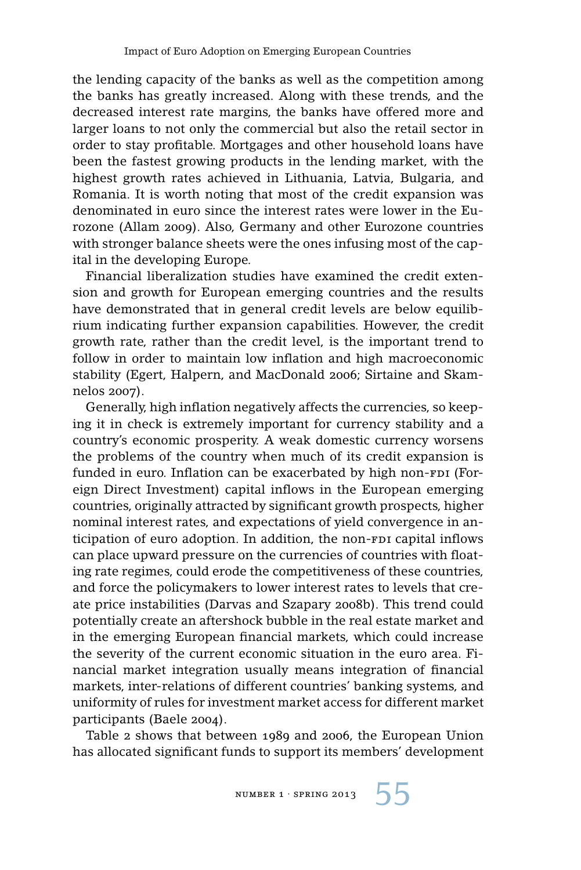the lending capacity of the banks as well as the competition among the banks has greatly increased. Along with these trends, and the decreased interest rate margins, the banks have offered more and larger loans to not only the commercial but also the retail sector in order to stay profitable. Mortgages and other household loans have been the fastest growing products in the lending market, with the highest growth rates achieved in Lithuania, Latvia, Bulgaria, and Romania. It is worth noting that most of the credit expansion was denominated in euro since the interest rates were lower in the Eurozone (Allam 2009). Also, Germany and other Eurozone countries with stronger balance sheets were the ones infusing most of the capital in the developing Europe.

Financial liberalization studies have examined the credit extension and growth for European emerging countries and the results have demonstrated that in general credit levels are below equilibrium indicating further expansion capabilities. However, the credit growth rate, rather than the credit level, is the important trend to follow in order to maintain low inflation and high macroeconomic stability (Egert, Halpern, and MacDonald 2006; Sirtaine and Skamnelos 2007).

Generally, high inflation negatively affects the currencies, so keeping it in check is extremely important for currency stability and a country's economic prosperity. A weak domestic currency worsens the problems of the country when much of its credit expansion is funded in euro. Inflation can be exacerbated by high non-FDI (Foreign Direct Investment) capital inflows in the European emerging countries, originally attracted by significant growth prospects, higher nominal interest rates, and expectations of yield convergence in anticipation of euro adoption. In addition, the non-FDI capital inflows can place upward pressure on the currencies of countries with floating rate regimes, could erode the competitiveness of these countries, and force the policymakers to lower interest rates to levels that create price instabilities (Darvas and Szapary 2008b). This trend could potentially create an aftershock bubble in the real estate market and in the emerging European financial markets, which could increase the severity of the current economic situation in the euro area. Financial market integration usually means integration of financial markets, inter-relations of different countries' banking systems, and uniformity of rules for investment market access for different market participants (Baele 2004).

Table 2 shows that between 1989 and 2006, the European Union has allocated significant funds to support its members' development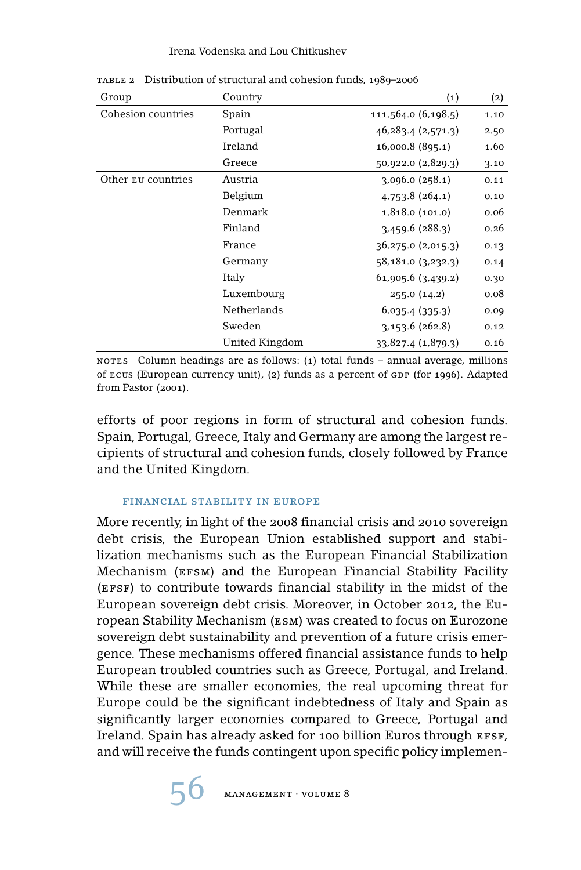#### Irena Vodenska and Lou Chitkushev

| Group              | Country        | $\left( 1\right)$      | (2)  |
|--------------------|----------------|------------------------|------|
| Cohesion countries | Spain          | 111,564.0 (6,198.5)    | 1.10 |
|                    | Portugal       | 46, 283.4 (2, 571.3)   | 2.50 |
|                    | Ireland        | 16,000.8 (895.1)       | 1.60 |
|                    | Greece         | 50,922.0 (2,829.3)     | 3.10 |
| Other Eu countries | Austria        | 3,096.0(258.1)         | 0.11 |
|                    | Belgium        | 4,753.8(264.1)         | 0.10 |
|                    | Denmark        | 1,818.0 (101.0)        | 0.06 |
|                    | Finland        | $3,459.6$ (288.3)      | 0.26 |
|                    | France         | $36,275.0$ $(2,015.3)$ | 0.13 |
|                    | Germany        | 58,181.0(3,232.3)      | 0.14 |
|                    | Italy          | $61,905.6$ $(3,439.2)$ | 0.30 |
|                    | Luxembourg     | 255.0(14.2)            | 0.08 |
|                    | Netherlands    | 6,035.4(335.3)         | 0.09 |
|                    | Sweden         | 3,153.6(262.8)         | 0.12 |
|                    | United Kingdom | 33,827.4 (1,879.3)     | 0.16 |

table 2 Distribution of structural and cohesion funds, 1989–2006

nores Column headings are as follows: (1) total funds – annual average, millions of ecus (European currency unit), (2) funds as a percent of  $GDP$  (for 1996). Adapted from Pastor (2001).

efforts of poor regions in form of structural and cohesion funds. Spain, Portugal, Greece, Italy and Germany are among the largest recipients of structural and cohesion funds, closely followed by France and the United Kingdom.

#### financial stability in europe

More recently, in light of the 2008 financial crisis and 2010 sovereign debt crisis, the European Union established support and stabilization mechanisms such as the European Financial Stabilization Mechanism (EFSM) and the European Financial Stability Facility (EFSF) to contribute towards financial stability in the midst of the European sovereign debt crisis. Moreover, in October 2012, the European Stability Mechanism (esm) was created to focus on Eurozone sovereign debt sustainability and prevention of a future crisis emergence. These mechanisms offered financial assistance funds to help European troubled countries such as Greece, Portugal, and Ireland. While these are smaller economies, the real upcoming threat for Europe could be the significant indebtedness of Italy and Spain as significantly larger economies compared to Greece, Portugal and Ireland. Spain has already asked for 100 billion Euros through EFSF, and will receive the funds contingent upon specific policy implemen-

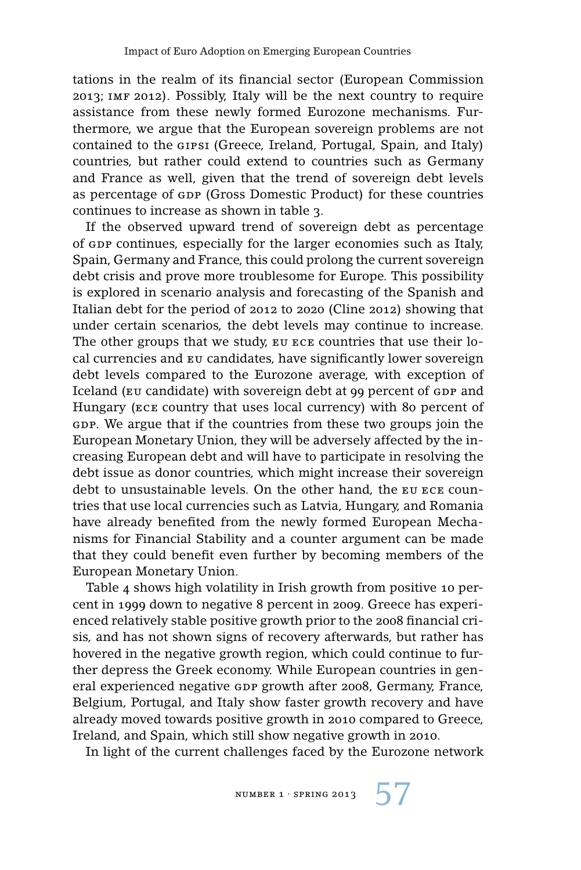tations in the realm of its financial sector (European Commission 2013; imf 2012). Possibly, Italy will be the next country to require assistance from these newly formed Eurozone mechanisms. Furthermore, we argue that the European sovereign problems are not contained to the gipsi (Greece, Ireland, Portugal, Spain, and Italy) countries, but rather could extend to countries such as Germany and France as well, given that the trend of sovereign debt levels as percentage of GDP (Gross Domestic Product) for these countries continues to increase as shown in table 3.

If the observed upward trend of sovereign debt as percentage of gdp continues, especially for the larger economies such as Italy, Spain, Germany and France, this could prolong the current sovereign debt crisis and prove more troublesome for Europe. This possibility is explored in scenario analysis and forecasting of the Spanish and Italian debt for the period of 2012 to 2020 (Cline 2012) showing that under certain scenarios, the debt levels may continue to increase. The other groups that we study, eu ece countries that use their local currencies and eu candidates, have significantly lower sovereign debt levels compared to the Eurozone average, with exception of Iceland (EU candidate) with sovereign debt at 99 percent of GDP and Hungary (ece country that uses local currency) with 80 percent of gdp. We argue that if the countries from these two groups join the European Monetary Union, they will be adversely affected by the increasing European debt and will have to participate in resolving the debt issue as donor countries, which might increase their sovereign debt to unsustainable levels. On the other hand, the eu ece countries that use local currencies such as Latvia, Hungary, and Romania have already benefited from the newly formed European Mechanisms for Financial Stability and a counter argument can be made that they could benefit even further by becoming members of the European Monetary Union.

Table 4 shows high volatility in Irish growth from positive 10 percent in 1999 down to negative 8 percent in 2009. Greece has experienced relatively stable positive growth prior to the 2008 financial crisis, and has not shown signs of recovery afterwards, but rather has hovered in the negative growth region, which could continue to further depress the Greek economy. While European countries in general experienced negative GDP growth after 2008, Germany, France, Belgium, Portugal, and Italy show faster growth recovery and have already moved towards positive growth in 2010 compared to Greece, Ireland, and Spain, which still show negative growth in 2010.

In light of the current challenges faced by the Eurozone network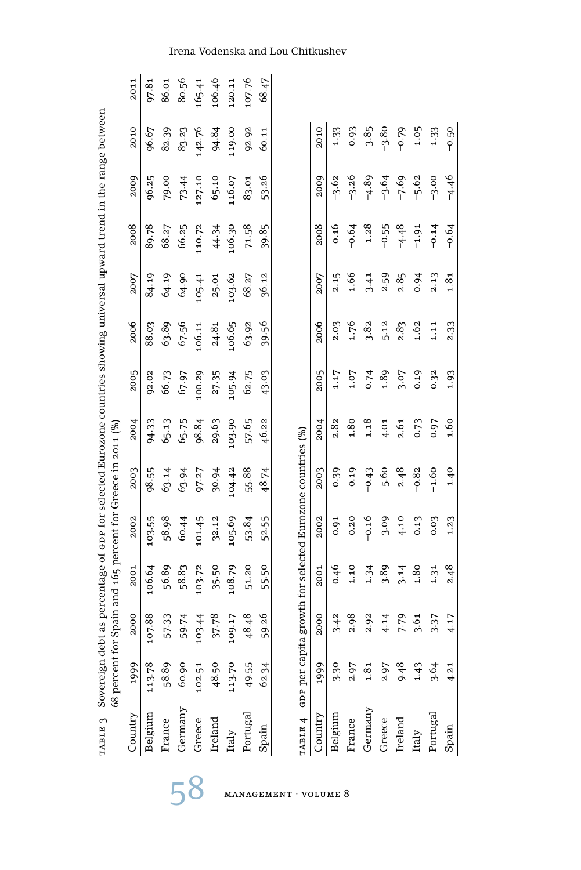| TABLE 3 Sovereign  | 68 percent |        | debt as percentage of opr for selected Eurozone countries showing universal upward trend in the range between<br>for Spain and 165 percent for Greece in 2011 (%) |         |         |         |        |        |           |         |         |         |        |
|--------------------|------------|--------|-------------------------------------------------------------------------------------------------------------------------------------------------------------------|---------|---------|---------|--------|--------|-----------|---------|---------|---------|--------|
| Country            | 1999       | 2000   | 2001                                                                                                                                                              | 2002    | 2003    | 2004    | 2005   | 2006   | 2007      | 2008    | 2009    | 2010    | 2011   |
| Belgium            | 113.78     | 107.88 | 106.64                                                                                                                                                            | 103.55  | 98.55   | 94.33   | 92.02  | 88.03  | 84.19     | 89.78   | 96.25   | 96.67   | 97.81  |
| France             | 58.89      | 57.33  | 56.89                                                                                                                                                             | 58.98   | 63.14   | 65.13   | 66.73  | 63.89  | 64.19     | 68.27   | 79.00   | 82.39   | 86.01  |
| Germany            | 60.90      | 59.74  | 58.83                                                                                                                                                             | 60.44   | 63.94   | 65.75   | 67.97  | 67.56  | 64.90     | 66.25   | 73.44   | 83.23   | 80.56  |
| Greece             | 102.51     | 103.44 | 103.72                                                                                                                                                            | 101.45  | 97.27   | 98.84   | 100.29 | 106.11 | 105.41    | 110.72  | 127.10  | 142.76  | 165.41 |
| Ireland            | 48.50      | 37.78  | 35.50                                                                                                                                                             | 32.12   | 30.94   | 29.63   | 27.35  | 24.81  | 25.01     | 44.34   | 65.10   | 94.84   | 106.46 |
| Italy              | 113.70     | 109.17 | 108.79                                                                                                                                                            | 105.69  | 104.42  | 103.90  | 105.94 | 106.65 | 103.62    | 106.30  | 116.07  | 119.00  | 120.11 |
| Portugal           | 49.55      | 48.48  | 51.20                                                                                                                                                             | 53.84   | 55.88   | 57.65   | 62.75  | 63.92  | 68.27     | 71.58   | 83.01   | 92.92   | 107.76 |
| Spain              | 62.34      | 59.26  | 55.50                                                                                                                                                             | 52.55   | 48.74   | 46.22   | 43.03  | 39.56  | 36.12     | 39.85   | 53.26   | 60.11   | 68.47  |
|                    |            |        |                                                                                                                                                                   |         |         |         |        |        |           |         |         |         |        |
| TABLE 4 GDP per ca |            |        | pita growth for selected Eurozone countries (%)                                                                                                                   |         |         |         |        |        |           |         |         |         |        |
| Country            | 1999       | 2000   | 2001                                                                                                                                                              | 2002    | 2003    | 2004    | 2005   | 2006   | 2007      | 2008    | 2009    | 2010    |        |
| Belgium            | 3.30       | 3.42   | 0.46                                                                                                                                                              | 0.91    | 0.39    | 2.82    | 1.17   | 2.03   | 2.15      | 0.16    | $-3.62$ | 1.33    |        |
| France             | 2.97       | 2.98   | 1.10                                                                                                                                                              | 0.20    | 0.19    | 1.80    | 1.07   | 1.76   | 1.66      | $-0.64$ | $-3.26$ | 0.93    |        |
| Germany            | 1.81       | 2.92   | 1.34                                                                                                                                                              | $-0.16$ | $-0.43$ | 1.18    | 0.74   | 3.82   | 3.41      | 1.28    | $-4.89$ | 3.85    |        |
| Greece             | 2.97       | 4.14   | 3.89                                                                                                                                                              | 3.09    | 5.60    | 4.01    | 4.89   | 5.12   | 2.59      | $-0.55$ | $-3.64$ | $-3.80$ |        |
| Ireland            | 9.48       | 7.79   | 3.14                                                                                                                                                              | 4.10    | 2.48    | 2.61    | 3.07   | 2.83   | 2.85      | $-4.48$ | $-7.69$ | $-0.79$ |        |
| Italy              | 1.43       | 3.61   | 1.80                                                                                                                                                              | 0.13    | $-0.82$ | 0.73    | 0.19   | 1.62   | 0.94      | $-1.91$ | $-5.62$ | 1.05    |        |
| Portugal           | 3.64       | 3.37   | 1.31                                                                                                                                                              | 0.03    | $-1.60$ | 0.97    | 0.32   | 1.11   | 2.13      | $-0.14$ | $-3.00$ | 1.33    |        |
| Spain              | 4.21       | 4.17   | 2.48                                                                                                                                                              | 1.23    | $0 + 1$ | $-1.60$ | 1.93   | 2.33   | $^{4.81}$ | $-0.64$ | $-4.46$ | $-0.50$ |        |

Irena Vodenska and Lou Chitkushev

58 management · volume 8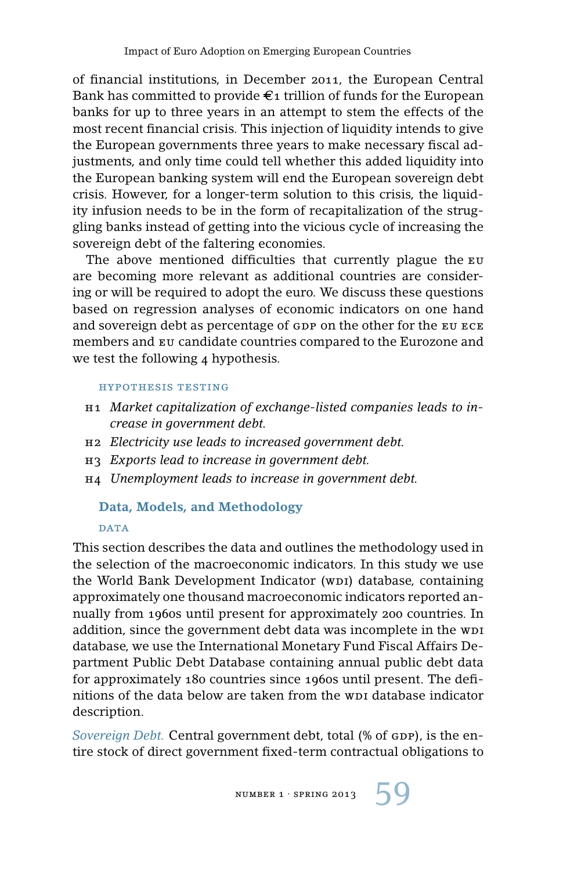of financial institutions, in December 2011, the European Central Bank has committed to provide  $\epsilon_1$  trillion of funds for the European banks for up to three years in an attempt to stem the effects of the most recent financial crisis. This injection of liquidity intends to give the European governments three years to make necessary fiscal adjustments, and only time could tell whether this added liquidity into the European banking system will end the European sovereign debt crisis. However, for a longer-term solution to this crisis, the liquidity infusion needs to be in the form of recapitalization of the struggling banks instead of getting into the vicious cycle of increasing the sovereign debt of the faltering economies.

The above mentioned difficulties that currently plague the EU are becoming more relevant as additional countries are considering or will be required to adopt the euro. We discuss these questions based on regression analyses of economic indicators on one hand and sovereign debt as percentage of GDP on the other for the EU ECE members and eu candidate countries compared to the Eurozone and we test the following 4 hypothesis.

#### hypothesis testing

- h1 *Market capitalization of exchange-listed companies leads to increase in government debt.*
- h2 *Electricity use leads to increased government debt.*
- h3 *Exports lead to increase in government debt.*
- h4 *Unemployment leads to increase in government debt.*

### **Data, Models, and Methodology**

#### **DATA**

This section describes the data and outlines the methodology used in the selection of the macroeconomic indicators. In this study we use the World Bank Development Indicator (wpi) database, containing approximately one thousand macroeconomic indicators reported annually from 1960s until present for approximately 200 countries. In addition, since the government debt data was incomplete in the w<sub>p1</sub> database, we use the International Monetary Fund Fiscal Affairs Department Public Debt Database containing annual public debt data for approximately 180 countries since 1960s until present. The definitions of the data below are taken from the wpi database indicator description.

*Sovereign Debt.* Central government debt, total (% of GDP), is the entire stock of direct government fixed-term contractual obligations to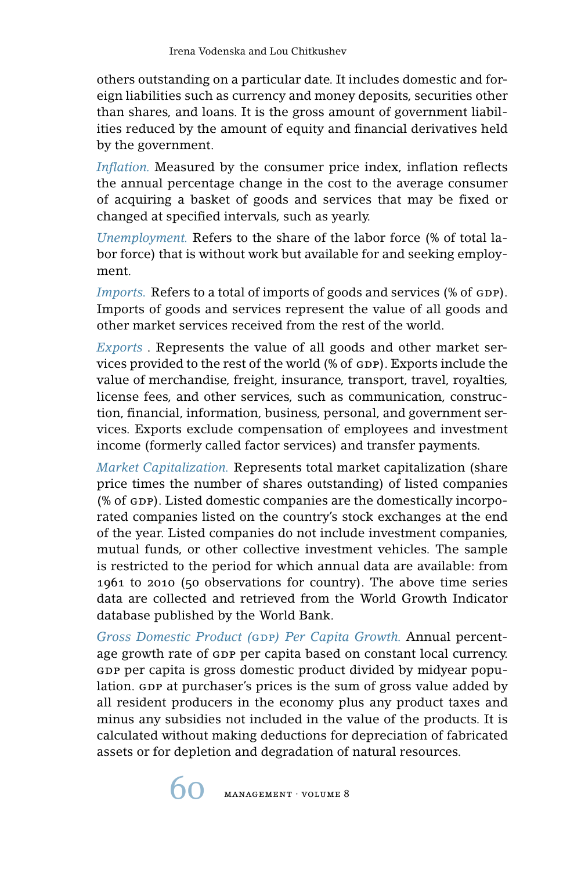others outstanding on a particular date. It includes domestic and foreign liabilities such as currency and money deposits, securities other than shares, and loans. It is the gross amount of government liabilities reduced by the amount of equity and financial derivatives held by the government.

*Inflation.* Measured by the consumer price index, inflation reflects the annual percentage change in the cost to the average consumer of acquiring a basket of goods and services that may be fixed or changed at specified intervals, such as yearly.

*Unemployment.* Refers to the share of the labor force (% of total labor force) that is without work but available for and seeking employment.

*Imports.* Refers to a total of imports of goods and services (% of GDP). Imports of goods and services represent the value of all goods and other market services received from the rest of the world.

*Exports* . Represents the value of all goods and other market services provided to the rest of the world (% of GDP). Exports include the value of merchandise, freight, insurance, transport, travel, royalties, license fees, and other services, such as communication, construction, financial, information, business, personal, and government services. Exports exclude compensation of employees and investment income (formerly called factor services) and transfer payments.

*Market Capitalization.* Represents total market capitalization (share price times the number of shares outstanding) of listed companies (% of GDP). Listed domestic companies are the domestically incorporated companies listed on the country's stock exchanges at the end of the year. Listed companies do not include investment companies, mutual funds, or other collective investment vehicles. The sample is restricted to the period for which annual data are available: from 1961 to 2010 (50 observations for country). The above time series data are collected and retrieved from the World Growth Indicator database published by the World Bank.

*Gross Domestic Product (*gdp*) Per Capita Growth.* Annual percentage growth rate of GDP per capita based on constant local currency. GDP per capita is gross domestic product divided by midyear population. GDP at purchaser's prices is the sum of gross value added by all resident producers in the economy plus any product taxes and minus any subsidies not included in the value of the products. It is calculated without making deductions for depreciation of fabricated assets or for depletion and degradation of natural resources.

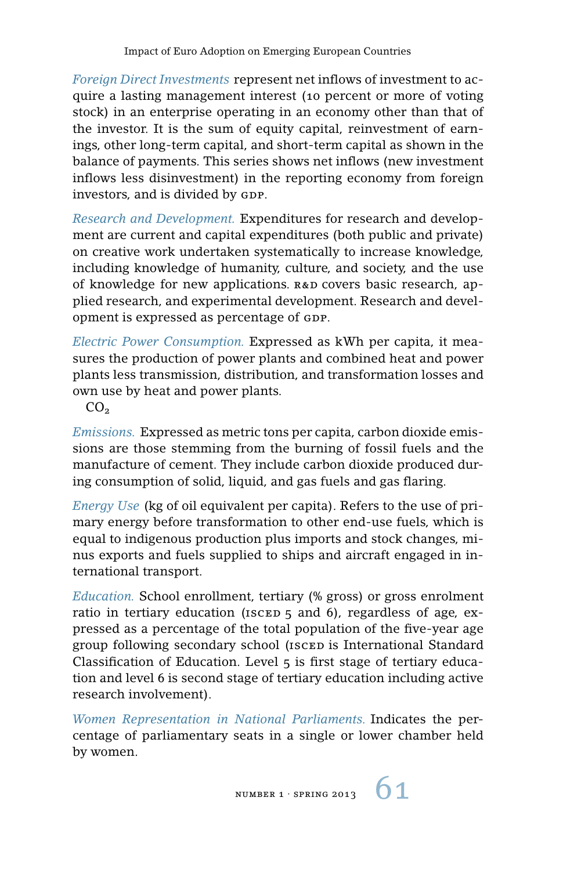*Foreign Direct Investments* represent net inflows of investment to acquire a lasting management interest (10 percent or more of voting stock) in an enterprise operating in an economy other than that of the investor. It is the sum of equity capital, reinvestment of earnings, other long-term capital, and short-term capital as shown in the balance of payments. This series shows net inflows (new investment inflows less disinvestment) in the reporting economy from foreign investors, and is divided by GDP.

*Research and Development.* Expenditures for research and development are current and capital expenditures (both public and private) on creative work undertaken systematically to increase knowledge, including knowledge of humanity, culture, and society, and the use of knowledge for new applications.  $R&D$  covers basic research, applied research, and experimental development. Research and development is expressed as percentage of GDP.

*Electric Power Consumption.* Expressed as kWh per capita, it measures the production of power plants and combined heat and power plants less transmission, distribution, and transformation losses and own use by heat and power plants.

 $CO<sub>2</sub>$ 

*Emissions.* Expressed as metric tons per capita, carbon dioxide emissions are those stemming from the burning of fossil fuels and the manufacture of cement. They include carbon dioxide produced during consumption of solid, liquid, and gas fuels and gas flaring.

*Energy Use* (kg of oil equivalent per capita). Refers to the use of primary energy before transformation to other end-use fuels, which is equal to indigenous production plus imports and stock changes, minus exports and fuels supplied to ships and aircraft engaged in international transport.

*Education.* School enrollment, tertiary (% gross) or gross enrolment ratio in tertiary education ( $iscED_5$  and 6), regardless of age, expressed as a percentage of the total population of the five-year age group following secondary school (ISCED is International Standard Classification of Education. Level 5 is first stage of tertiary education and level 6 is second stage of tertiary education including active research involvement).

*Women Representation in National Parliaments.* Indicates the percentage of parliamentary seats in a single or lower chamber held by women.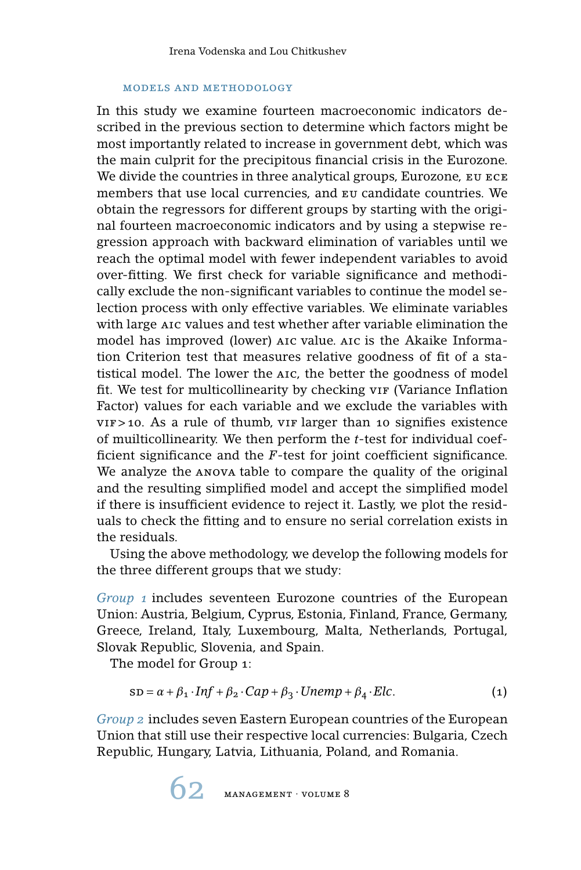#### models and methodology

In this study we examine fourteen macroeconomic indicators described in the previous section to determine which factors might be most importantly related to increase in government debt, which was the main culprit for the precipitous financial crisis in the Eurozone. We divide the countries in three analytical groups, Eurozone, EU ECE members that use local currencies, and eu candidate countries. We obtain the regressors for different groups by starting with the original fourteen macroeconomic indicators and by using a stepwise regression approach with backward elimination of variables until we reach the optimal model with fewer independent variables to avoid over-fitting. We first check for variable significance and methodically exclude the non-significant variables to continue the model selection process with only effective variables. We eliminate variables with large AIC values and test whether after variable elimination the model has improved (lower) aic value. aic is the Akaike Information Criterion test that measures relative goodness of fit of a statistical model. The lower the aic, the better the goodness of model fit. We test for multicollinearity by checking vir (Variance Inflation Factor) values for each variable and we exclude the variables with  $VIF > 10$ . As a rule of thumb,  $VIF$  larger than 10 signifies existence of muilticollinearity. We then perform the *t*-test for individual coefficient significance and the *F*-test for joint coefficient significance. We analyze the anova table to compare the quality of the original and the resulting simplified model and accept the simplified model if there is insufficient evidence to reject it. Lastly, we plot the residuals to check the fitting and to ensure no serial correlation exists in the residuals.

Using the above methodology, we develop the following models for the three different groups that we study:

*Group 1* includes seventeen Eurozone countries of the European Union: Austria, Belgium, Cyprus, Estonia, Finland, France, Germany, Greece, Ireland, Italy, Luxembourg, Malta, Netherlands, Portugal, Slovak Republic, Slovenia, and Spain.

The model for Group 1:

$$
SD = \alpha + \beta_1 \cdot Inf + \beta_2 \cdot Cap + \beta_3 \cdot Unemp + \beta_4 \cdot Elc. \tag{1}
$$

*Group 2* includes seven Eastern European countries of the European Union that still use their respective local currencies: Bulgaria, Czech Republic, Hungary, Latvia, Lithuania, Poland, and Romania.

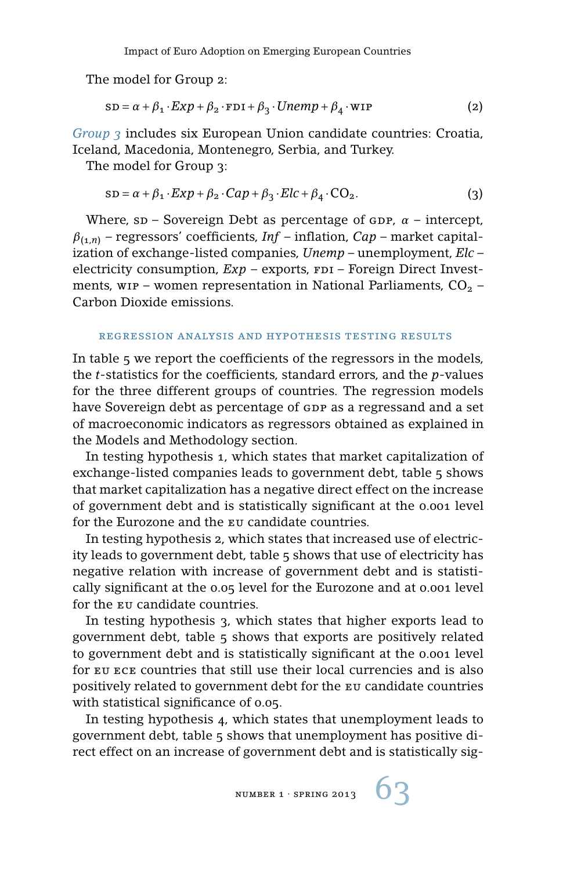The model for Group 2:

$$
SD = \alpha + \beta_1 \cdot Exp + \beta_2 \cdot FDI + \beta_3 \cdot Unemp + \beta_4 \cdot WP \tag{2}
$$

*Group 3* includes six European Union candidate countries: Croatia, Iceland, Macedonia, Montenegro, Serbia, and Turkey.

The model for Group 3:

$$
SD = \alpha + \beta_1 \cdot Exp + \beta_2 \cdot Cap + \beta_3 \cdot Elc + \beta_4 \cdot CO_2.
$$
 (3)

Where,  $s$ D – Sovereign Debt as percentage of  $s$ DP,  $\alpha$  – intercept, *β*(1,*n*) – regressors' coefficients, *Inf* – inflation, *Cap* – market capitalization of exchange-listed companies, *Unemp* – unemployment, *Elc* – electricity consumption,  $Exp$  – exports,  $FDI$  – Foreign Direct Investments, wip – women representation in National Parliaments,  $CO<sub>2</sub>$  – Carbon Dioxide emissions.

#### regression analysis and hypothesis testing results

In table 5 we report the coefficients of the regressors in the models, the *t*-statistics for the coefficients, standard errors, and the *p*-values for the three different groups of countries. The regression models have Sovereign debt as percentage of GDP as a regressand and a set of macroeconomic indicators as regressors obtained as explained in the Models and Methodology section.

In testing hypothesis 1, which states that market capitalization of exchange-listed companies leads to government debt, table 5 shows that market capitalization has a negative direct effect on the increase of government debt and is statistically significant at the 0.001 level for the Eurozone and the eu candidate countries.

In testing hypothesis 2, which states that increased use of electricity leads to government debt, table 5 shows that use of electricity has negative relation with increase of government debt and is statistically significant at the 0.05 level for the Eurozone and at 0.001 level for the eu candidate countries.

In testing hypothesis 3, which states that higher exports lead to government debt, table 5 shows that exports are positively related to government debt and is statistically significant at the 0.001 level for eu ece countries that still use their local currencies and is also positively related to government debt for the eu candidate countries with statistical significance of 0.05.

In testing hypothesis 4, which states that unemployment leads to government debt, table 5 shows that unemployment has positive direct effect on an increase of government debt and is statistically sig-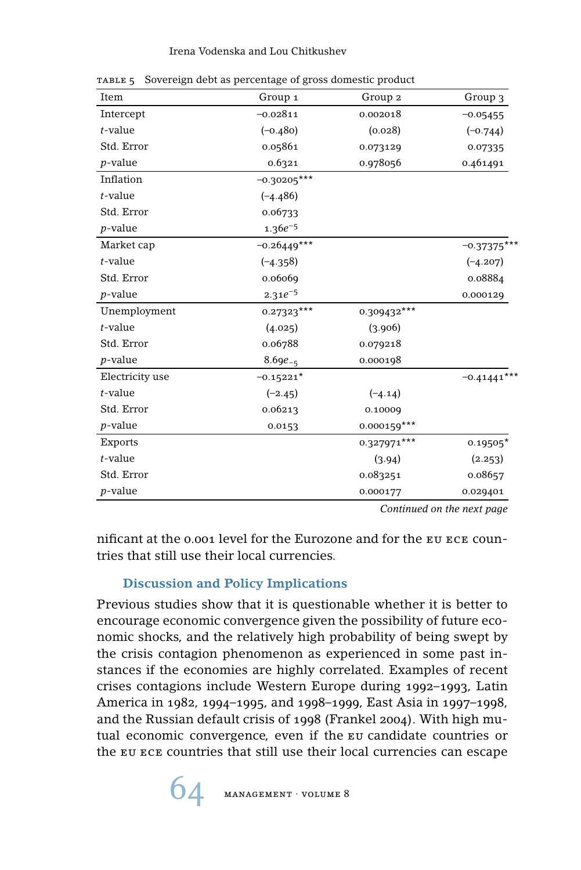#### Irena Vodenska and Lou Chitkushev

| Item            | Group 1       | Group 2       | Group 3       |
|-----------------|---------------|---------------|---------------|
| Intercept       | $-0.02811$    | 0.002018      | $-0.05455$    |
| $t$ -value      | $(-0.480)$    | (0.028)       | $(-0.744)$    |
| Std. Error      | 0.05861       | 0.073129      | 0.07335       |
| $p$ -value      | 0.6321        | 0.978056      | 0.461491      |
| Inflation       | $-0.30205***$ |               |               |
| $t$ -value      | $(-4.486)$    |               |               |
| Std. Error      | 0.06733       |               |               |
| $p$ -value      | $1.36e^{-5}$  |               |               |
| Market cap      | $-0.26449***$ |               | $-0.37375$    |
| $t$ -value      | $(-4.358)$    |               | $(-4.207)$    |
| Std. Error      | 0.06069       |               | 0.08884       |
| $p$ -value      | $2.31e^{-5}$  |               | 0.000129      |
| Unemployment    | $0.27323***$  | 0.309432***   |               |
| $t$ -value      | (4.025)       | (3.906)       |               |
| Std. Error      | 0.06788       | 0.079218      |               |
| $p$ -value      | $8.69e_{-5}$  | 0.000198      |               |
| Electricity use | $-0.15221*$   |               | $-0.41441***$ |
| $t$ -value      | $(-2.45)$     | $(-4.14)$     |               |
| Std. Error      | 0.06213       | 0.10009       |               |
| $p$ -value      | 0.0153        | $0.000159***$ |               |
| <b>Exports</b>  |               | 0.327971***   | $0.19505*$    |
| $t$ -value      |               | (3.94)        | (2.253)       |
| Std. Error      |               | 0.083251      | 0.08657       |
| $p$ -value      |               | 0.000177      | 0.029401      |

table 5 Sovereign debt as percentage of gross domestic product

*Continued on the next page*

nificant at the 0.001 level for the Eurozone and for the eu ece countries that still use their local currencies.

# **Discussion and Policy Implications**

Previous studies show that it is questionable whether it is better to encourage economic convergence given the possibility of future economic shocks, and the relatively high probability of being swept by the crisis contagion phenomenon as experienced in some past instances if the economies are highly correlated. Examples of recent crises contagions include Western Europe during 1992–1993, Latin America in 1982, 1994–1995, and 1998–1999, East Asia in 1997–1998, and the Russian default crisis of 1998 (Frankel 2004). With high mutual economic convergence, even if the eu candidate countries or the eu ece countries that still use their local currencies can escape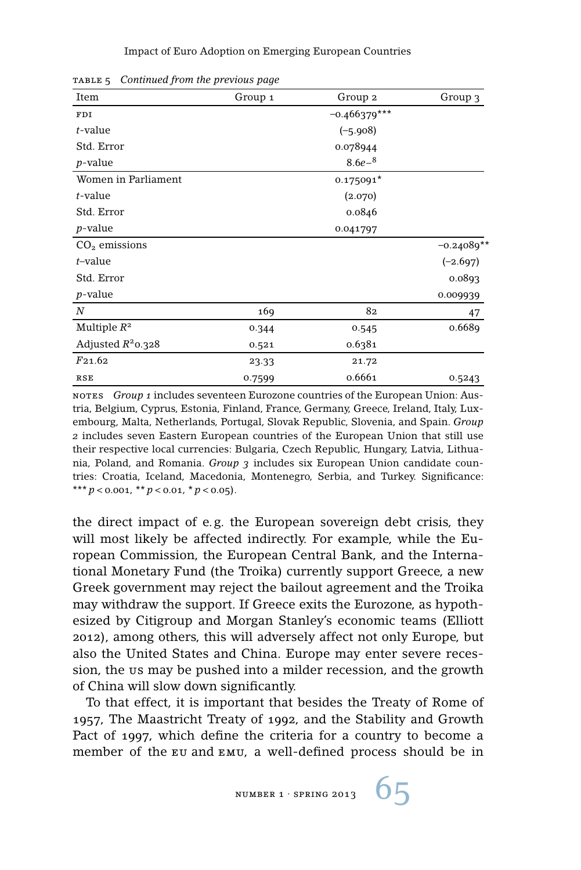| Group 1 | Group 2        | Group 3      |
|---------|----------------|--------------|
|         | $-0.466379***$ |              |
|         | $(-5.908)$     |              |
|         | 0.078944       |              |
|         | $8.6e^{-8}$    |              |
|         | $0.175091*$    |              |
|         | (2.070)        |              |
|         | 0.0846         |              |
|         | 0.041797       |              |
|         |                | $-0.24089**$ |
|         |                | $(-2.697)$   |
|         |                | 0.0893       |
|         |                | 0.009939     |
| 169     | 82             | 47           |
| 0.344   | 0.545          | 0.6689       |
| 0.521   | 0.6381         |              |
| 23.33   | 21.72          |              |
| 0.7599  | 0.6661         | 0.5243       |
|         |                |              |

table 5 *Continued from the previous page*

notes *Group 1* includes seventeen Eurozone countries of the European Union: Austria, Belgium, Cyprus, Estonia, Finland, France, Germany, Greece, Ireland, Italy, Luxembourg, Malta, Netherlands, Portugal, Slovak Republic, Slovenia, and Spain. *Group 2* includes seven Eastern European countries of the European Union that still use their respective local currencies: Bulgaria, Czech Republic, Hungary, Latvia, Lithuania, Poland, and Romania. *Group 3* includes six European Union candidate countries: Croatia, Iceland, Macedonia, Montenegro, Serbia, and Turkey. Significance: \*\*\*  $p < 0.001$ , \*\*  $p < 0.01$ , \* $p < 0.05$ ).

the direct impact of e. g. the European sovereign debt crisis, they will most likely be affected indirectly. For example, while the European Commission, the European Central Bank, and the International Monetary Fund (the Troika) currently support Greece, a new Greek government may reject the bailout agreement and the Troika may withdraw the support. If Greece exits the Eurozone, as hypothesized by Citigroup and Morgan Stanley's economic teams (Elliott 2012), among others, this will adversely affect not only Europe, but also the United States and China. Europe may enter severe recession, the us may be pushed into a milder recession, and the growth of China will slow down significantly.

To that effect, it is important that besides the Treaty of Rome of 1957, The Maastricht Treaty of 1992, and the Stability and Growth Pact of 1997, which define the criteria for a country to become a member of the eu and emu, a well-defined process should be in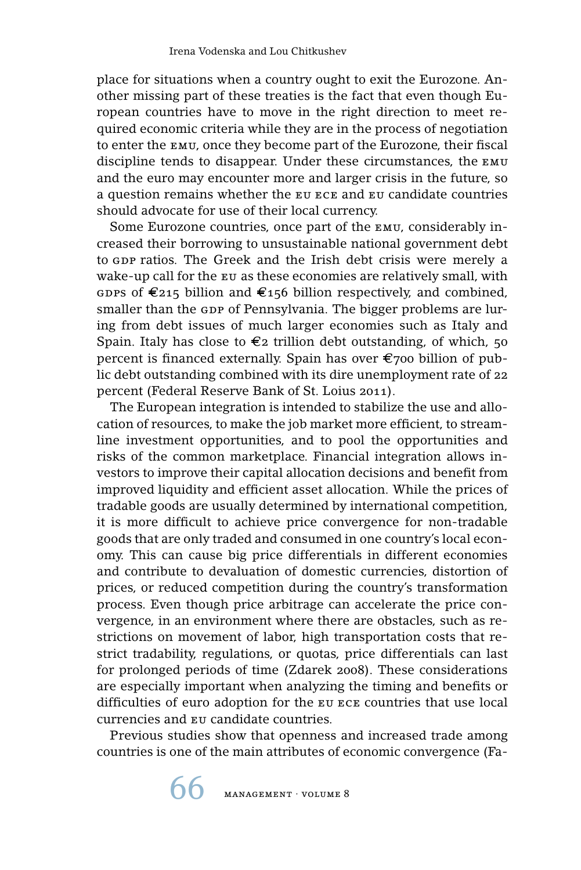place for situations when a country ought to exit the Eurozone. Another missing part of these treaties is the fact that even though European countries have to move in the right direction to meet required economic criteria while they are in the process of negotiation to enter the emu, once they become part of the Eurozone, their fiscal discipline tends to disappear. Under these circumstances, the emu and the euro may encounter more and larger crisis in the future, so a question remains whether the eu ece and eu candidate countries should advocate for use of their local currency.

Some Eurozone countries, once part of the emu, considerably increased their borrowing to unsustainable national government debt to GDP ratios. The Greek and the Irish debt crisis were merely a wake-up call for the EU as these economies are relatively small, with GDPS of  $\epsilon_{215}$  billion and  $\epsilon_{156}$  billion respectively, and combined, smaller than the GDP of Pennsylvania. The bigger problems are luring from debt issues of much larger economies such as Italy and Spain. Italy has close to  $\epsilon_2$  trillion debt outstanding, of which, 50 percent is financed externally. Spain has over  $\epsilon$ 700 billion of public debt outstanding combined with its dire unemployment rate of 22 percent (Federal Reserve Bank of St. Loius 2011).

The European integration is intended to stabilize the use and allocation of resources, to make the job market more efficient, to streamline investment opportunities, and to pool the opportunities and risks of the common marketplace. Financial integration allows investors to improve their capital allocation decisions and benefit from improved liquidity and efficient asset allocation. While the prices of tradable goods are usually determined by international competition, it is more difficult to achieve price convergence for non-tradable goods that are only traded and consumed in one country's local economy. This can cause big price differentials in different economies and contribute to devaluation of domestic currencies, distortion of prices, or reduced competition during the country's transformation process. Even though price arbitrage can accelerate the price convergence, in an environment where there are obstacles, such as restrictions on movement of labor, high transportation costs that restrict tradability, regulations, or quotas, price differentials can last for prolonged periods of time (Zdarek 2008). These considerations are especially important when analyzing the timing and benefits or difficulties of euro adoption for the eu ece countries that use local currencies and eu candidate countries.

Previous studies show that openness and increased trade among countries is one of the main attributes of economic convergence (Fa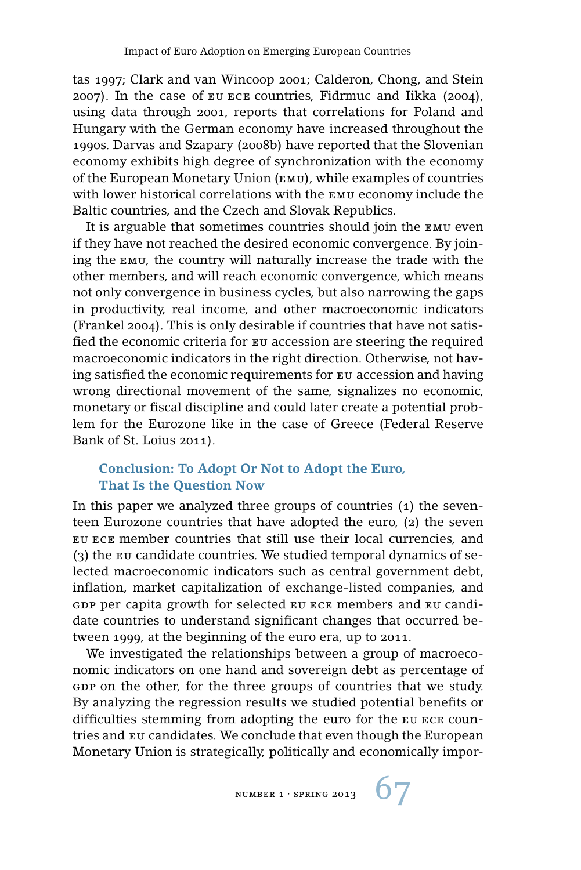tas 1997; Clark and van Wincoop 2001; Calderon, Chong, and Stein 2007). In the case of eu ece countries, Fidrmuc and Iikka (2004), using data through 2001, reports that correlations for Poland and Hungary with the German economy have increased throughout the 1990s. Darvas and Szapary (2008b) have reported that the Slovenian economy exhibits high degree of synchronization with the economy of the European Monetary Union (emu), while examples of countries with lower historical correlations with the emu economy include the Baltic countries, and the Czech and Slovak Republics.

It is arguable that sometimes countries should join the emu even if they have not reached the desired economic convergence. By joining the emu, the country will naturally increase the trade with the other members, and will reach economic convergence, which means not only convergence in business cycles, but also narrowing the gaps in productivity, real income, and other macroeconomic indicators (Frankel 2004). This is only desirable if countries that have not satisfied the economic criteria for eu accession are steering the required macroeconomic indicators in the right direction. Otherwise, not having satisfied the economic requirements for eu accession and having wrong directional movement of the same, signalizes no economic, monetary or fiscal discipline and could later create a potential problem for the Eurozone like in the case of Greece (Federal Reserve Bank of St. Loius 2011).

# **Conclusion: To Adopt Or Not to Adopt the Euro, That Is the Question Now**

In this paper we analyzed three groups of countries (1) the seventeen Eurozone countries that have adopted the euro, (2) the seven eu ece member countries that still use their local currencies, and (3) the eu candidate countries. We studied temporal dynamics of selected macroeconomic indicators such as central government debt, inflation, market capitalization of exchange-listed companies, and gdp per capita growth for selected eu ece members and eu candidate countries to understand significant changes that occurred between 1999, at the beginning of the euro era, up to 2011.

We investigated the relationships between a group of macroeconomic indicators on one hand and sovereign debt as percentage of GDP on the other, for the three groups of countries that we study. By analyzing the regression results we studied potential benefits or difficulties stemming from adopting the euro for the eu ece countries and eu candidates. We conclude that even though the European Monetary Union is strategically, politically and economically impor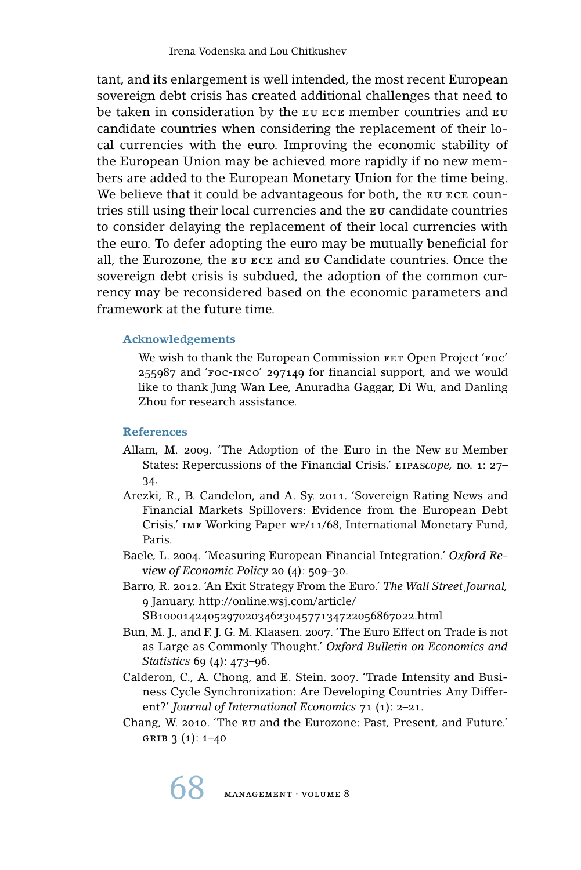tant, and its enlargement is well intended, the most recent European sovereign debt crisis has created additional challenges that need to be taken in consideration by the EU ECE member countries and EU candidate countries when considering the replacement of their local currencies with the euro. Improving the economic stability of the European Union may be achieved more rapidly if no new members are added to the European Monetary Union for the time being. We believe that it could be advantageous for both, the EU ECE countries still using their local currencies and the eu candidate countries to consider delaying the replacement of their local currencies with the euro. To defer adopting the euro may be mutually beneficial for all, the Eurozone, the eu ece and eu Candidate countries. Once the sovereign debt crisis is subdued, the adoption of the common currency may be reconsidered based on the economic parameters and framework at the future time.

# **Acknowledgements**

We wish to thank the European Commission FET Open Project 'FOC' 255987 and 'foc-inco' 297149 for financial support, and we would like to thank Jung Wan Lee, Anuradha Gaggar, Di Wu, and Danling Zhou for research assistance.

## **References**

- Allam, M. 2009. 'The Adoption of the Euro in the New eu Member States: Repercussions of the Financial Crisis.' eipas*cope,* no. 1: 27– 34.
- Arezki, R., B. Candelon, and A. Sy. 2011. 'Sovereign Rating News and Financial Markets Spillovers: Evidence from the European Debt Crisis.' imf Working Paper wp/11/68, International Monetary Fund, Paris.
- Baele, L. 2004. 'Measuring European Financial Integration.' *Oxford Review of Economic Policy* 20 (4): 509–30.
- Barro, R. 2012. 'An Exit Strategy From the Euro.' *The Wall Street Journal,* 9 January. http://online.wsj.com/article/ SB10001424052970203462304577134722056867022.html
- Bun, M. J., and F. J. G. M. Klaasen. 2007. 'The Euro Effect on Trade is not as Large as Commonly Thought.' *Oxford Bulletin on Economics and Statistics* 69 (4): 473–96.
- Calderon, C., A. Chong, and E. Stein. 2007. 'Trade Intensity and Business Cycle Synchronization: Are Developing Countries Any Different?' *Journal of International Economics* 71 (1): 2–21.
- Chang, W. 2010. 'The eu and the Eurozone: Past, Present, and Future.' GRIB  $3(1)$ : 1–40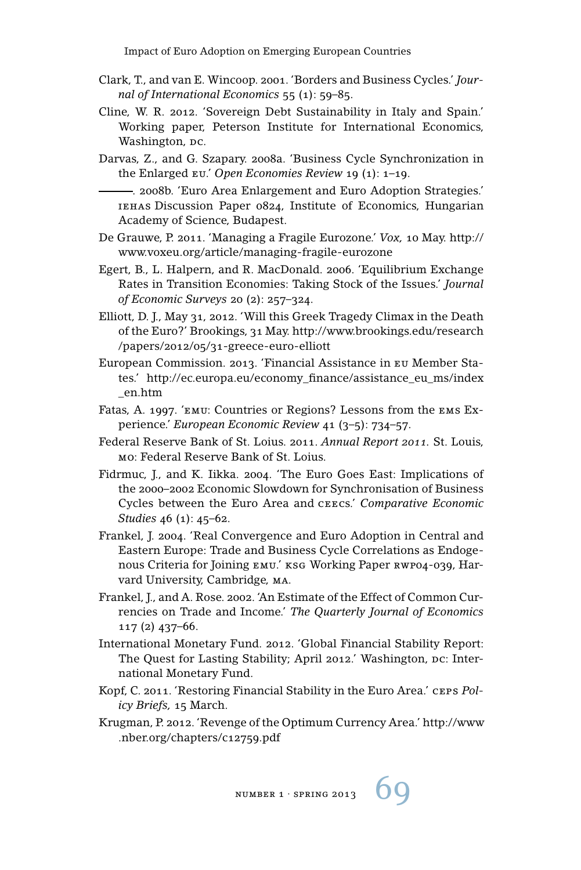- Clark, T., and van E. Wincoop. 2001. 'Borders and Business Cycles.' *Journal of International Economics* 55 (1): 59–85.
- Cline, W. R. 2012. 'Sovereign Debt Sustainability in Italy and Spain.' Working paper, Peterson Institute for International Economics, Washington, pc.
- Darvas, Z., and G. Szapary. 2008a. 'Business Cycle Synchronization in the Enlarged eu.' *Open Economies Review* 19 (1): 1–19.

. 2008b. 'Euro Area Enlargement and Euro Adoption Strategies.' iehas Discussion Paper 0824, Institute of Economics, Hungarian Academy of Science, Budapest.

- De Grauwe, P. 2011. 'Managing a Fragile Eurozone.' *Vox,* 10 May. http:// www.voxeu.org/article/managing-fragile-eurozone
- Egert, B., L. Halpern, and R. MacDonald. 2006. 'Equilibrium Exchange Rates in Transition Economies: Taking Stock of the Issues.' *Journal of Economic Surveys* 20 (2): 257–324.
- Elliott, D. J., May 31, 2012. 'Will this Greek Tragedy Climax in the Death of the Euro?' Brookings, 31 May. http://www.brookings.edu/research /papers/2012/05/31-greece-euro-elliott
- European Commission. 2013. 'Financial Assistance in eu Member States.' http://ec.europa.eu/economy\_finance/assistance\_eu\_ms/index \_en.htm
- Fatas, A. 1997. 'emu: Countries or Regions? Lessons from the ems Experience.' *European Economic Review* 41 (3–5): 734–57.
- Federal Reserve Bank of St. Loius. 2011. *Annual Report 2011.* St. Louis, mo: Federal Reserve Bank of St. Loius.
- Fidrmuc, J., and K. Iikka. 2004. 'The Euro Goes East: Implications of the 2000–2002 Economic Slowdown for Synchronisation of Business Cycles between the Euro Area and ceecs.' *Comparative Economic Studies* 46 (1): 45–62.
- Frankel, J. 2004. 'Real Convergence and Euro Adoption in Central and Eastern Europe: Trade and Business Cycle Correlations as Endogenous Criteria for Joining emu.' ksg Working Paper rwp04-039, Harvard University, Cambridge, ma.
- Frankel, J., and A. Rose. 2002. 'An Estimate of the Effect of Common Currencies on Trade and Income.' *The Quarterly Journal of Economics* 117 (2) 437–66.
- International Monetary Fund. 2012. 'Global Financial Stability Report: The Quest for Lasting Stability; April 2012.' Washington, DC: International Monetary Fund.
- Kopf, C. 2011. 'Restoring Financial Stability in the Euro Area.' ceps *Policy Briefs,* 15 March.
- Krugman, P. 2012. 'Revenge of the Optimum Currency Area.' http://www .nber.org/chapters/c12759.pdf